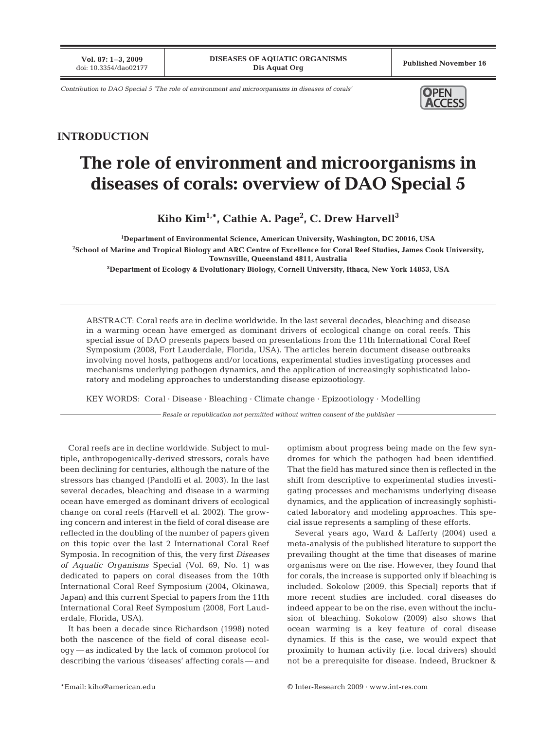**Vol. 87: 1–3, 2009**

*Contribution to DAO Special 5 'The role of environment and microorganisms in diseases of corals'* **OPEN** 



## **INTRODUCTION**

## **The role of environment and microorganisms in diseases of corals: overview of DAO Special 5**

**Kiho Kim1,\*, Cathie A. Page2 , C. Drew Harvell3**

**1 Department of Environmental Science, American University, Washington, DC 20016, USA 2 School of Marine and Tropical Biology and ARC Centre of Excellence for Coral Reef Studies, James Cook University, Townsville, Queensland 4811, Australia**

**3 Department of Ecology & Evolutionary Biology, Cornell University, Ithaca, New York 14853, USA**

ABSTRACT: Coral reefs are in decline worldwide. In the last several decades, bleaching and disease in a warming ocean have emerged as dominant drivers of ecological change on coral reefs. This special issue of DAO presents papers based on presentations from the 11th International Coral Reef Symposium (2008, Fort Lauderdale, Florida, USA). The articles herein document disease outbreaks involving novel hosts, pathogens and/or locations, experimental studies investigating processes and mechanisms underlying pathogen dynamics, and the application of increasingly sophisticated laboratory and modeling approaches to understanding disease epizootiology.

KEY WORDS: Coral · Disease · Bleaching · Climate change · Epizootiology · Modelling

*Resale or republication not permitted without written consent of the publisher*

Coral reefs are in decline worldwide. Subject to multiple, anthropogenically-derived stressors, corals have been declining for centuries, although the nature of the stressors has changed (Pandolfi et al. 2003). In the last several decades, bleaching and disease in a warming ocean have emerged as dominant drivers of ecological change on coral reefs (Harvell et al. 2002). The growing concern and interest in the field of coral disease are reflected in the doubling of the number of papers given on this topic over the last 2 International Coral Reef Symposia. In recognition of this, the very first *Diseases of Aquatic Organisms* Special (Vol. 69, No. 1) was dedicated to papers on coral diseases from the 10th International Coral Reef Symposium (2004, Okinawa, Japan) and this current Special to papers from the 11th International Coral Reef Symposium (2008, Fort Lauderdale, Florida, USA).

It has been a decade since Richardson (1998) noted both the nascence of the field of coral disease ecology — as indicated by the lack of common protocol for describing the various 'diseases' affecting corals — and optimism about progress being made on the few syndromes for which the pathogen had been identified. That the field has matured since then is reflected in the shift from descriptive to experimental studies investigating processes and mechanisms underlying disease dynamics, and the application of increasingly sophisticated laboratory and modeling approaches. This special issue represents a sampling of these efforts.

Several years ago, Ward & Lafferty (2004) used a meta-analysis of the published literature to support the prevailing thought at the time that diseases of marine organisms were on the rise. However, they found that for corals, the increase is supported only if bleaching is included. Sokolow (2009, this Special) reports that if more recent studies are included, coral diseases do indeed appear to be on the rise, even without the inclusion of bleaching. Sokolow (2009) also shows that ocean warming is a key feature of coral disease dynamics. If this is the case, we would expect that proximity to human activity (i.e. local drivers) should not be a prerequisite for disease. Indeed, Bruckner &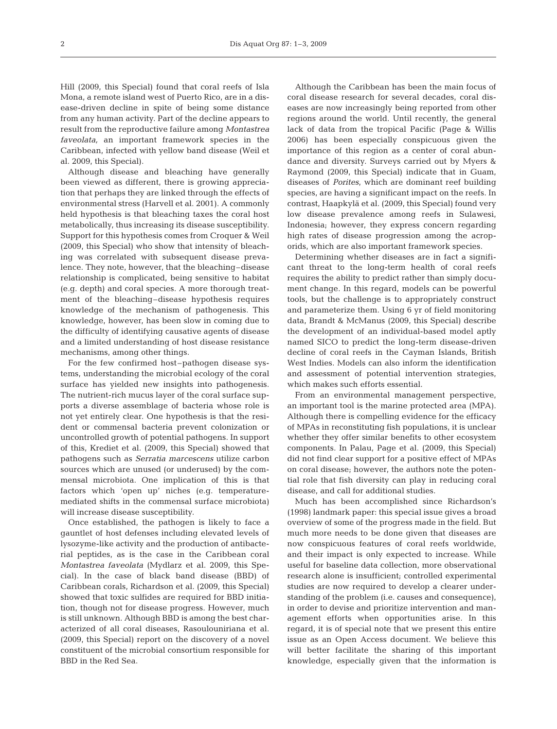Hill (2009, this Special) found that coral reefs of Isla Mona, a remote island west of Puerto Rico, are in a disease-driven decline in spite of being some distance from any human activity. Part of the decline appears to result from the reproductive failure among *Montastrea faveolata,* an important framework species in the Caribbean, infected with yellow band disease (Weil et al. 2009, this Special).

Although disease and bleaching have generally been viewed as different, there is growing appreciation that perhaps they are linked through the effects of environmental stress (Harvell et al. 2001). A commonly held hypothesis is that bleaching taxes the coral host metabolically, thus increasing its disease susceptibility. Support for this hypothesis comes from Croquer & Weil (2009, this Special) who show that intensity of bleaching was correlated with subsequent disease prevalence. They note, however, that the bleaching–disease relationship is complicated, being sensitive to habitat (e.g. depth) and coral species. A more thorough treatment of the bleaching–disease hypothesis requires knowledge of the mechanism of pathogenesis. This knowledge, however, has been slow in coming due to the difficulty of identifying causative agents of disease and a limited understanding of host disease resistance mechanisms, among other things.

For the few confirmed host–pathogen disease systems, understanding the microbial ecology of the coral surface has yielded new insights into pathogenesis. The nutrient-rich mucus layer of the coral surface supports a diverse assemblage of bacteria whose role is not yet entirely clear. One hypothesis is that the resident or commensal bacteria prevent colonization or uncontrolled growth of potential pathogens. In support of this, Krediet et al. (2009, this Special) showed that pathogens such as *Serratia marcescens* utilize carbon sources which are unused (or underused) by the commensal microbiota. One implication of this is that factors which 'open up' niches (e.g. temperaturemediated shifts in the commensal surface microbiota) will increase disease susceptibility.

Once established, the pathogen is likely to face a gauntlet of host defenses including elevated levels of lysozyme-like activity and the production of antibacterial peptides, as is the case in the Caribbean coral *Montastrea faveolata* (Mydlarz et al. 2009, this Special). In the case of black band disease (BBD) of Caribbean corals, Richardson et al. (2009, this Special) showed that toxic sulfides are required for BBD initiation, though not for disease progress. However, much is still unknown. Although BBD is among the best characterized of all coral diseases, Rasoulouniriana et al. (2009, this Special) report on the discovery of a novel constituent of the microbial consortium responsible for BBD in the Red Sea.

Although the Caribbean has been the main focus of coral disease research for several decades, coral diseases are now increasingly being reported from other regions around the world. Until recently, the general lack of data from the tropical Pacific (Page & Willis 2006) has been especially conspicuous given the importance of this region as a center of coral abundance and diversity. Surveys carried out by Myers & Raymond (2009, this Special) indicate that in Guam, diseases of *Porites*, which are dominant reef building species, are having a significant impact on the reefs. In contrast, Haapkylä et al. (2009, this Special) found very low disease prevalence among reefs in Sulawesi, Indonesia; however, they express concern regarding high rates of disease progression among the acroporids, which are also important framework species.

Determining whether diseases are in fact a significant threat to the long-term health of coral reefs requires the ability to predict rather than simply document change. In this regard, models can be powerful tools, but the challenge is to appropriately construct and parameterize them. Using 6 yr of field monitoring data, Brandt & McManus (2009, this Special) describe the development of an individual-based model aptly named SICO to predict the long-term disease-driven decline of coral reefs in the Cayman Islands, British West Indies. Models can also inform the identification and assessment of potential intervention strategies, which makes such efforts essential.

From an environmental management perspective, an important tool is the marine protected area (MPA). Although there is compelling evidence for the efficacy of MPAs in reconstituting fish populations, it is unclear whether they offer similar benefits to other ecosystem components. In Palau, Page et al. (2009, this Special) did not find clear support for a positive effect of MPAs on coral disease; however, the authors note the potential role that fish diversity can play in reducing coral disease, and call for additional studies.

Much has been accomplished since Richardson's (1998) landmark paper: this special issue gives a broad overview of some of the progress made in the field. But much more needs to be done given that diseases are now conspicuous features of coral reefs worldwide, and their impact is only expected to increase. While useful for baseline data collection, more observational research alone is insufficient; controlled experimental studies are now required to develop a clearer understanding of the problem (i.e. causes and consequence), in order to devise and prioritize intervention and management efforts when opportunities arise. In this regard, it is of special note that we present this entire issue as an Open Access document. We believe this will better facilitate the sharing of this important knowledge, especially given that the information is